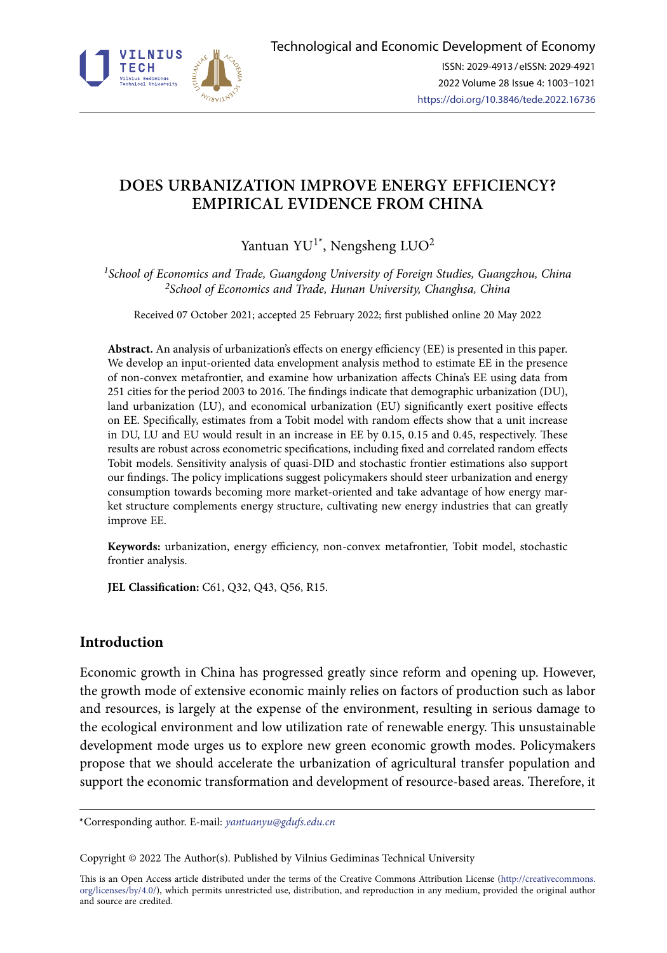

# **DOES URBANIZATION IMPROVE ENERGY EFFICIENCY? EMPIRICAL EVIDENCE FROM CHINA**

# Yantuan YU<sup>1\*</sup>, Nengsheng LUO<sup>2</sup>

*1School of Economics and Trade, Guangdong University of Foreign Studies, Guangzhou, China 2School of Economics and Trade, Hunan University, Changhsa, China*

Received 07 October 2021; accepted 25 February 2022; first published online 20 May 2022

**Abstract.** An analysis of urbanization's effects on energy efficiency (EE) is presented in this paper. We develop an input-oriented data envelopment analysis method to estimate EE in the presence of non-convex metafrontier, and examine how urbanization affects China's EE using data from 251 cities for the period 2003 to 2016. The findings indicate that demographic urbanization (DU), land urbanization (LU), and economical urbanization (EU) significantly exert positive effects on EE. Specifically, estimates from a Tobit model with random effects show that a unit increase in DU, LU and EU would result in an increase in EE by 0.15, 0.15 and 0.45, respectively. These results are robust across econometric specifications, including fixed and correlated random effects Tobit models. Sensitivity analysis of quasi-DID and stochastic frontier estimations also support our findings. The policy implications suggest policymakers should steer urbanization and energy consumption towards becoming more market-oriented and take advantage of how energy market structure complements energy structure, cultivating new energy industries that can greatly improve EE.

**Keywords:** urbanization, energy efficiency, non-convex metafrontier, Tobit model, stochastic frontier analysis.

**JEL Classification:** C61, Q32, Q43, Q56, R15.

## **Introduction**

Economic growth in China has progressed greatly since reform and opening up. However, the growth mode of extensive economic mainly relies on factors of production such as labor and resources, is largely at the expense of the environment, resulting in serious damage to the ecological environment and low utilization rate of renewable energy. This unsustainable development mode urges us to explore new green economic growth modes. Policymakers propose that we should accelerate the urbanization of agricultural transfer population and support the economic transformation and development of resource-based areas. Therefore, it

\*Corresponding author. E-mail: *[yantuanyu@gdufs.edu.cn](mailto:yantuanyu@gdufs.edu.cn)*

Copyright © 2022 The Author(s). Published by Vilnius Gediminas Technical University

This is an Open Access article distributed under the terms of the Creative Commons Attribution License ([http://creativecommons.](http://creativecommons.org/licenses/by/4.0/) [org/licenses/by/4.0/\)](http://creativecommons.org/licenses/by/4.0/), which permits unrestricted use, distribution, and reproduction in any medium, provided the original author and source are credited.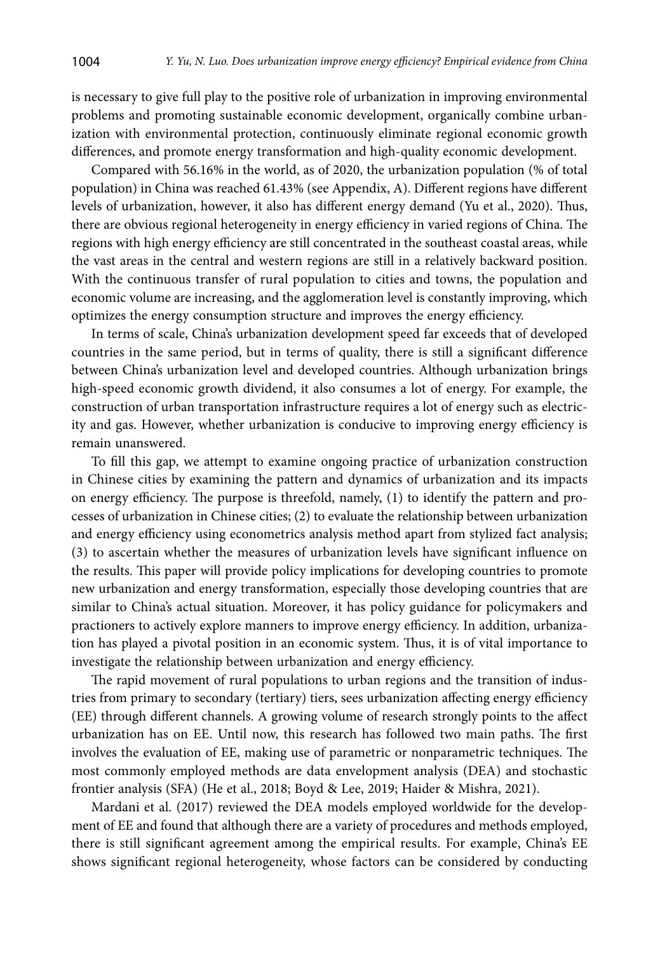is necessary to give full play to the positive role of urbanization in improving environmental problems and promoting sustainable economic development, organically combine urbanization with environmental protection, continuously eliminate regional economic growth differences, and promote energy transformation and high-quality economic development.

Compared with 56.16% in the world, as of 2020, the urbanization population (% of total population) in China was reached 61.43% (see Appendix, A). Different regions have different levels of urbanization, however, it also has different energy demand (Yu et al., 2020). Thus, there are obvious regional heterogeneity in energy efficiency in varied regions of China. The regions with high energy efficiency are still concentrated in the southeast coastal areas, while the vast areas in the central and western regions are still in a relatively backward position. With the continuous transfer of rural population to cities and towns, the population and economic volume are increasing, and the agglomeration level is constantly improving, which optimizes the energy consumption structure and improves the energy efficiency.

In terms of scale, China's urbanization development speed far exceeds that of developed countries in the same period, but in terms of quality, there is still a significant difference between China's urbanization level and developed countries. Although urbanization brings high-speed economic growth dividend, it also consumes a lot of energy. For example, the construction of urban transportation infrastructure requires a lot of energy such as electricity and gas. However, whether urbanization is conducive to improving energy efficiency is remain unanswered.

To fill this gap, we attempt to examine ongoing practice of urbanization construction in Chinese cities by examining the pattern and dynamics of urbanization and its impacts on energy efficiency. The purpose is threefold, namely, (1) to identify the pattern and processes of urbanization in Chinese cities; (2) to evaluate the relationship between urbanization and energy efficiency using econometrics analysis method apart from stylized fact analysis; (3) to ascertain whether the measures of urbanization levels have significant influence on the results. This paper will provide policy implications for developing countries to promote new urbanization and energy transformation, especially those developing countries that are similar to China's actual situation. Moreover, it has policy guidance for policymakers and practioners to actively explore manners to improve energy efficiency. In addition, urbanization has played a pivotal position in an economic system. Thus, it is of vital importance to investigate the relationship between urbanization and energy efficiency.

The rapid movement of rural populations to urban regions and the transition of industries from primary to secondary (tertiary) tiers, sees urbanization affecting energy efficiency (EE) through different channels. A growing volume of research strongly points to the affect urbanization has on EE. Until now, this research has followed two main paths. The first involves the evaluation of EE, making use of parametric or nonparametric techniques. The most commonly employed methods are data envelopment analysis (DEA) and stochastic frontier analysis (SFA) (He et al., 2018; Boyd & Lee, 2019; Haider & Mishra, 2021).

Mardani et al. (2017) reviewed the DEA models employed worldwide for the development of EE and found that although there are a variety of procedures and methods employed, there is still significant agreement among the empirical results. For example, China's EE shows significant regional heterogeneity, whose factors can be considered by conducting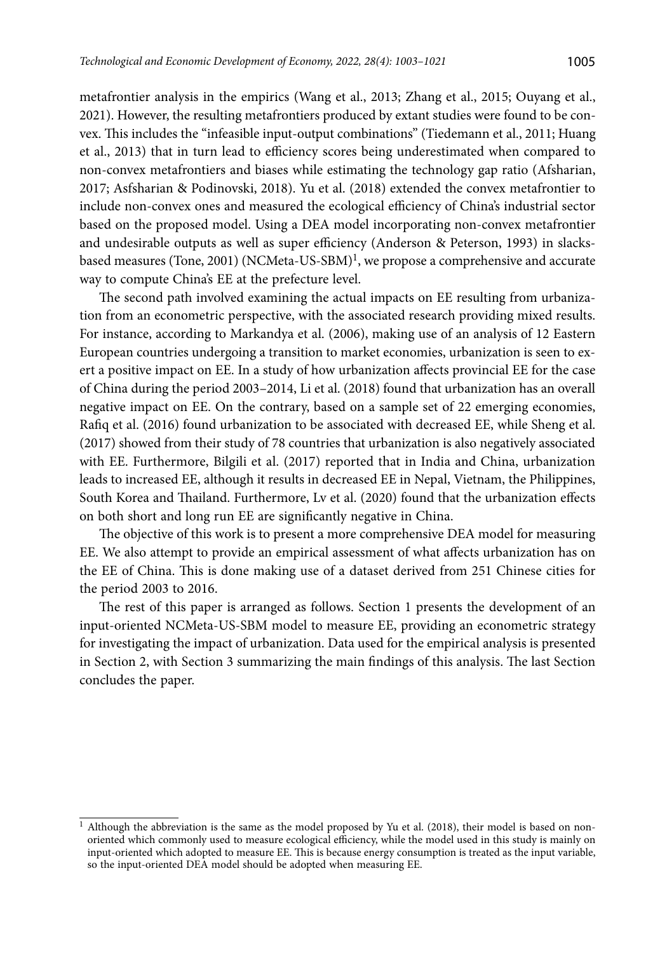metafrontier analysis in the empirics (Wang et al., 2013; Zhang et al., 2015; Ouyang et al., 2021). However, the resulting metafrontiers produced by extant studies were found to be convex. This includes the "infeasible input-output combinations" (Tiedemann et al., 2011; Huang et al., 2013) that in turn lead to efficiency scores being underestimated when compared to non-convex metafrontiers and biases while estimating the technology gap ratio (Afsharian, 2017; Asfsharian & Podinovski, 2018). Yu et al. (2018) extended the convex metafrontier to include non-convex ones and measured the ecological efficiency of China's industrial sector based on the proposed model. Using a DEA model incorporating non-convex metafrontier and undesirable outputs as well as super efficiency (Anderson & Peterson, 1993) in slacksbased measures (Tone, 2001) (NCMeta-US-SBM)<sup>1</sup>, we propose a comprehensive and accurate way to compute China's EE at the prefecture level.

The second path involved examining the actual impacts on EE resulting from urbanization from an econometric perspective, with the associated research providing mixed results. For instance, according to Markandya et al. (2006), making use of an analysis of 12 Eastern European countries undergoing a transition to market economies, urbanization is seen to exert a positive impact on EE. In a study of how urbanization affects provincial EE for the case of China during the period 2003–2014, Li et al. (2018) found that urbanization has an overall negative impact on EE. On the contrary, based on a sample set of 22 emerging economies, Rafiq et al. (2016) found urbanization to be associated with decreased EE, while Sheng et al. (2017) showed from their study of 78 countries that urbanization is also negatively associated with EE. Furthermore, Bilgili et al. (2017) reported that in India and China, urbanization leads to increased EE, although it results in decreased EE in Nepal, Vietnam, the Philippines, South Korea and Thailand. Furthermore, Lv et al. (2020) found that the urbanization effects on both short and long run EE are significantly negative in China.

The objective of this work is to present a more comprehensive DEA model for measuring EE. We also attempt to provide an empirical assessment of what affects urbanization has on the EE of China. This is done making use of a dataset derived from 251 Chinese cities for the period 2003 to 2016.

The rest of this paper is arranged as follows. Section 1 presents the development of an input-oriented NCMeta-US-SBM model to measure EE, providing an econometric strategy for investigating the impact of urbanization. Data used for the empirical analysis is presented in Section 2, with Section 3 summarizing the main findings of this analysis. The last Section concludes the paper.

 $1$  Although the abbreviation is the same as the model proposed by Yu et al. (2018), their model is based on nonoriented which commonly used to measure ecological efficiency, while the model used in this study is mainly on input-oriented which adopted to measure EE. This is because energy consumption is treated as the input variable, so the input-oriented DEA model should be adopted when measuring EE.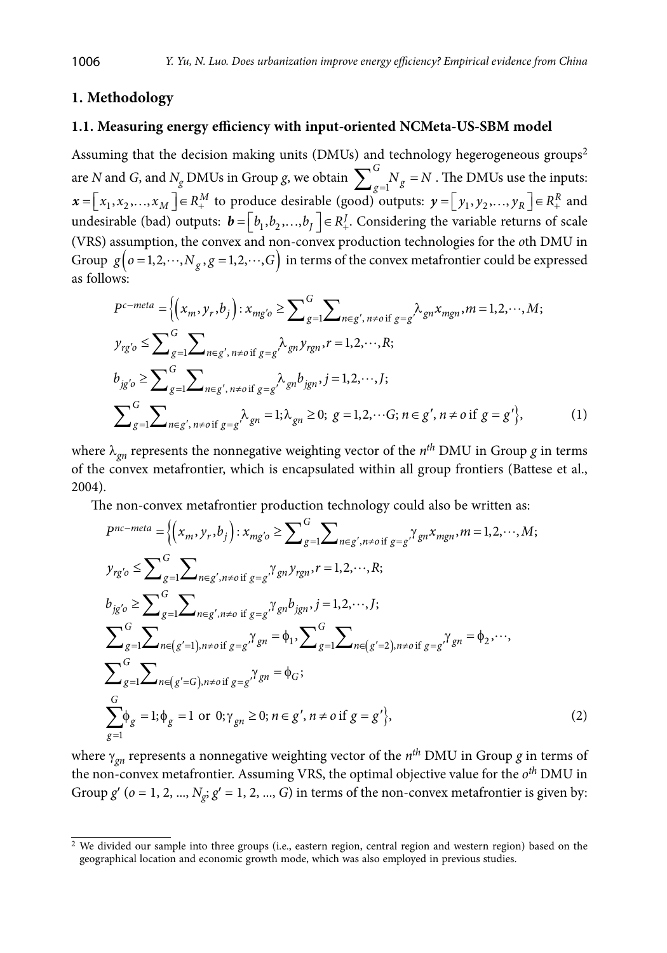### **1. Methodology**

### **1.1. Measuring energy efficiency with input-oriented NCMeta-US-SBM model**

Assuming that the decision making units (DMUs) and technology hegerogeneous groups<sup>2</sup> are *N* and *G*, and *N<sub>g</sub>* DMUs in Group *g*, we obtain  $\sum_{g=1}^{G} N_g =$  $N_g = N$ . The DMUs use the inputs:  $\mathbf{x} = \left[ x_1, x_2, \ldots, x_M \right] \in R_+^M$  to produce desirable (good) outputs:  $\mathbf{y} = \left[ y_1, y_2, \ldots, y_R \right] \in R_+^R$  and undesirable (bad) outputs:  $\mathbf{b} = \bigr[ b_1, b_2, ..., b_J \bigr] \in R_+^J$ . Considering the variable returns of scale (VRS) assumption, the convex and non-convex production technologies for the *o*th DMU in Group  $g\left( o=1,2,\dots,N_g,g=1,2,\dots,G\right)$  in terms of the convex metafrontier could be expressed as follows:

$$
P^{c-meta} = \left\{ \left( x_m, y_r, b_j \right) : x_{mg'o} \ge \sum_{g=1}^{G} \sum_{n \in g', n \ne o \text{ if } g=g'} \lambda_{gn} x_{mgn}, m = 1, 2, \dots, M; \right\}
$$
  
\n
$$
y_{rg'o} \le \sum_{g=1}^{G} \sum_{n \in g', n \ne o \text{ if } g=g} \lambda_{gn} y_{rgn}, r = 1, 2, \dots, R; \right\}
$$
  
\n
$$
b_{jg'o} \ge \sum_{g=1}^{G} \sum_{n \in g', n \ne o \text{ if } g=g} \lambda_{gn} b_{jgn}, j = 1, 2, \dots, J; \right\}
$$
  
\n
$$
\sum_{g=1}^{G} \sum_{n \in g', n \ne o \text{ if } g=g'} \lambda_{gn} = 1; \lambda_{gn} \ge 0; g = 1, 2, \dots, G; n \in g', n \ne o \text{ if } g=g' \right\},
$$
  
\n(1)

where  $\lambda_{qn}$  represents the nonnegative weighting vector of the  $n^{th}$  DMU in Group *g* in terms of the convex metafrontier, which is encapsulated within all group frontiers (Battese et al., 2004).

The non-convex metafrontier production technology could also be written as:

$$
P^{nc-meta} = \left\{ (x_m, y_r, b_j) : x_{mg'o} \ge \sum_{g=1}^{G} \sum_{n \in g', n \ne o \text{ if } g = g'} \gamma_{gn} x_{mgn}, m = 1, 2, \cdots, M; \right\}
$$
  
\n
$$
y_{rg'o} \le \sum_{g=1}^{G} \sum_{n \in g', n \ne o \text{ if } g = g'} \gamma_{gn} y_{rgn}, r = 1, 2, \cdots, R; \right\}
$$
  
\n
$$
b_{jg'o} \ge \sum_{g=1}^{G} \sum_{n \in g', n \ne o \text{ if } g = g'} \gamma_{gn} b_{jgn}, j = 1, 2, \cdots, J; \right\}
$$
  
\n
$$
\sum_{g=1}^{G} \sum_{n \in (g'=1), n \ne o \text{ if } g = g'} \gamma_{gn} = \phi_1, \sum_{g=1}^{G} \sum_{n \in (g'=2), n \ne o \text{ if } g = g'} \gamma_{gn} = \phi_2, \cdots, \sum_{g=1}^{G} \sum_{n \in (g'=G), n \ne o \text{ if } g = g'} \gamma_{gn} = \phi_G; \right\}
$$
  
\n
$$
\sum_{g=1}^{G} \phi_g = 1; \phi_g = 1 \text{ or } 0; \gamma_{gn} \ge 0; n \in g', n \ne o \text{ if } g = g' \right\}, \tag{2}
$$

where  $\gamma_{gn}$  represents a nonnegative weighting vector of the  $n^{th}$  DMU in Group *g* in terms of the non-convex metafrontier. Assuming VRS, the optimal objective value for the *oth* DMU in Group  $g'$  ( $o = 1, 2, ..., N_g$ ;  $g' = 1, 2, ..., G$ ) in terms of the non-convex metafrontier is given by:

<sup>&</sup>lt;sup>2</sup> We divided our sample into three groups (i.e., eastern region, central region and western region) based on the geographical location and economic growth mode, which was also employed in previous studies.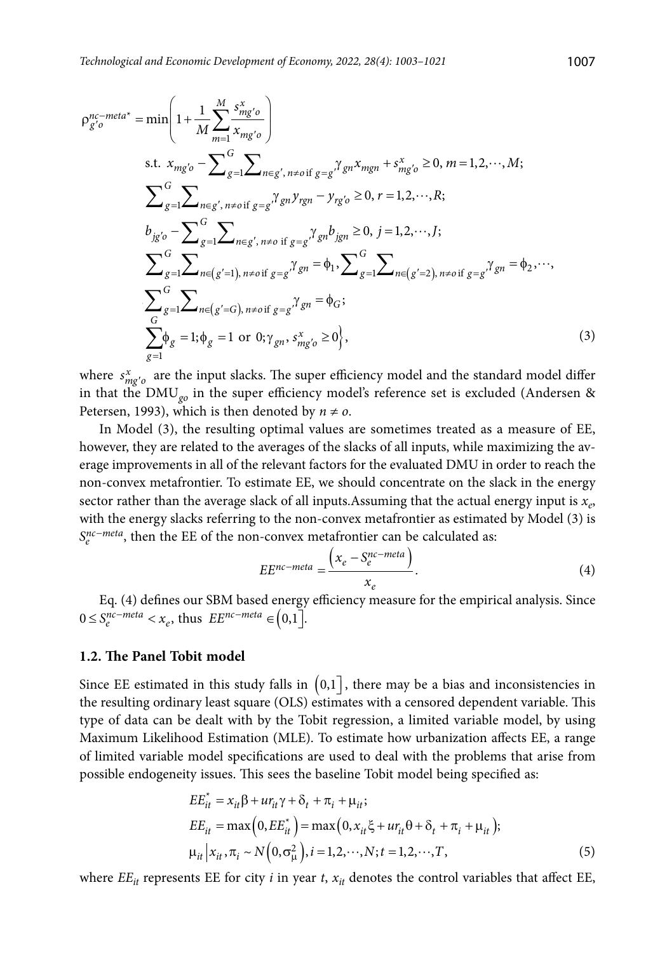$$
\rho_{g'o}^{nc-meta*} = \min\left(1 + \frac{1}{M} \sum_{m=1}^{M} \frac{s_{mg'o}^x}{x_{mg'o}}\right)
$$
  
s.t.  $x_{mg'o} - \sum_{g=1}^{G} \sum_{n \in g', n \neq o \text{ if } g=g'} \gamma_{gn} x_{mgn} + s_{mg'o}^x \ge 0, m = 1, 2, \dots, M;$   

$$
\sum_{g=1}^{G} \sum_{n \in g', n \neq o \text{ if } g=g'} \gamma_{gn} y_{rgn} - y_{rg'o} \ge 0, r = 1, 2, \dots, R;
$$
  

$$
b_{jg'o} - \sum_{g=1}^{G} \sum_{n \in g', n \neq o \text{ if } g=g'} \gamma_{gn} b_{jgn} \ge 0, j = 1, 2, \dots, J;
$$
  

$$
\sum_{g=1}^{G} \sum_{n \in (g'=1), n \neq o \text{ if } g=g'} \gamma_{gn} = \phi_1, \sum_{g=1}^{G} \sum_{n \in (g'=2), n \neq o \text{ if } g=g'} \gamma_{gn} = \phi_2, \dots,
$$
  

$$
\sum_{g=1}^{G} \sum_{g=1}^{G} \sum_{n \in (g'=G), n \neq o \text{ if } g=g'} \gamma_{gn} = \phi_G;
$$
  

$$
\sum_{g=1}^{G} \phi_g = 1; \phi_g = 1 \text{ or } 0; \gamma_{gn}, s_{mg'o}^x \ge 0,
$$
  

$$
(3)
$$

where  $s_{mg'o}^x$  are the input slacks. The super efficiency model and the standard model differ in that the DMU*go* in the super efficiency model's reference set is excluded (Andersen & Petersen, 1993), which is then denoted by  $n \neq o$ .

In Model (3), the resulting optimal values are sometimes treated as a measure of EE, however, they are related to the averages of the slacks of all inputs, while maximizing the average improvements in all of the relevant factors for the evaluated DMU in order to reach the non-convex metafrontier. To estimate EE, we should concentrate on the slack in the energy sector rather than the average slack of all inputs. Assuming that the actual energy input is  $x_e$ , with the energy slacks referring to the non-convex metafrontier as estimated by Model (3) is *S<sub>pc</sub>*-meta, then the EE of the non-convex metafrontier can be calculated as:

$$
EE^{nc-meta} = \frac{\left(x_e - S_e^{nc-meta}\right)}{x_e}.
$$
\n(4)

Eq. (4) defines our SBM based energy efficiency measure for the empirical analysis. Since  $0 \le S_e^{nc-meta} < x_e$ , thus  $EE^{nc-meta} \in (0,1].$ 

#### **1.2. The Panel Tobit model**

Since EE estimated in this study falls in  $(0,1]$ , there may be a bias and inconsistencies in the resulting ordinary least square (OLS) estimates with a censored dependent variable. This type of data can be dealt with by the Tobit regression, a limited variable model, by using Maximum Likelihood Estimation (MLE). To estimate how urbanization affects EE, a range of limited variable model specifications are used to deal with the problems that arise from possible endogeneity issues. This sees the baseline Tobit model being specified as:

$$
EE_{it}^{*} = x_{it}\beta + ur_{it}\gamma + \delta_{t} + \pi_{i} + \mu_{it};
$$
  
\n
$$
EE_{it} = \max(0, EE_{it}^{*}) = \max(0, x_{it}\xi + ur_{it}\theta + \delta_{t} + \pi_{i} + \mu_{it});
$$
  
\n
$$
\mu_{it}|x_{it}, \pi_{i} \sim N(0, \sigma_{\mu}^{2}), i = 1, 2, \cdots, N; t = 1, 2, \cdots, T,
$$
\n(5)

where  $EE_{it}$  represents EE for city *i* in year *t*,  $x_{it}$  denotes the control variables that affect EE,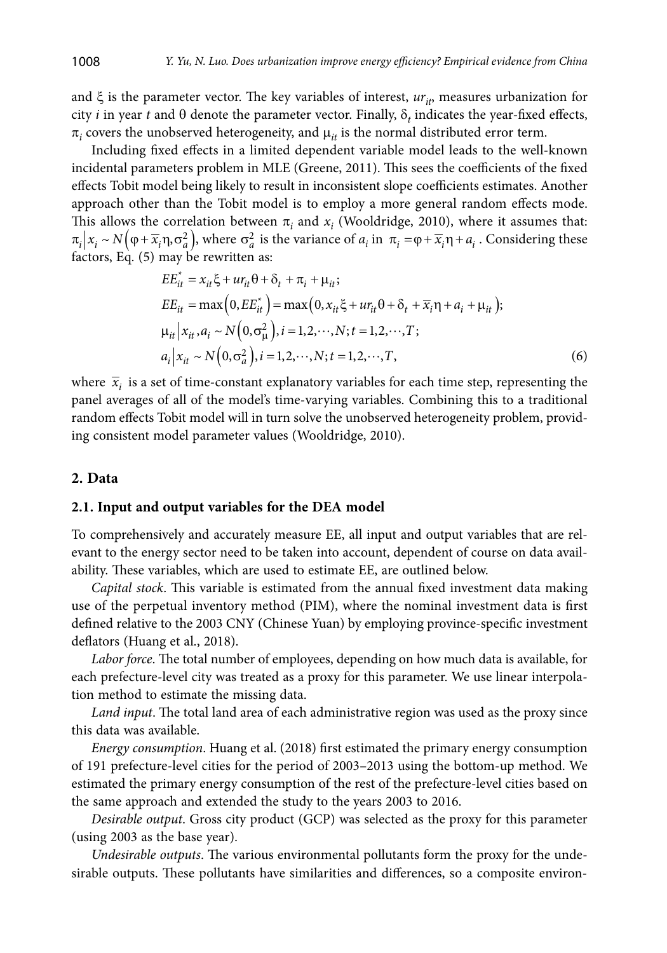and  $\xi$  is the parameter vector. The key variables of interest,  $ur_{ir}$ , measures urbanization for city *i* in year *t* and  $\theta$  denote the parameter vector. Finally,  $\delta_t$  indicates the year-fixed effects,  $\pi_i$  covers the unobserved heterogeneity, and  $\mu_{it}$  is the normal distributed error term.

Including fixed effects in a limited dependent variable model leads to the well-known incidental parameters problem in MLE (Greene, 2011). This sees the coefficients of the fixed effects Tobit model being likely to result in inconsistent slope coefficients estimates. Another approach other than the Tobit model is to employ a more general random effects mode. This allows the correlation between  $\pi_i$  and  $x_i$  (Wooldridge, 2010), where it assumes that:  $\pi_i | x_i \sim N(\varphi + \overline{x}_i \eta, \sigma_a^2)$ , where  $\sigma_a^2$  is the variance of  $a_i$  in  $\pi_i = \varphi + \overline{x}_i \eta + a_i$ . Considering these factors, Eq. (5) may be rewritten as:

$$
EE_{it}^{*} = x_{it}\xi + ur_{it}\theta + \delta_{t} + \pi_{i} + \mu_{it};
$$
  
\n
$$
EE_{it} = \max(0, EE_{it}^{*}) = \max(0, x_{it}\xi + ur_{it}\theta + \delta_{t} + \overline{x}_{i}\eta + a_{i} + \mu_{it});
$$
  
\n
$$
\mu_{it}|x_{it}, a_{i} \sim N(0, \sigma_{\mu}^{2}), i = 1, 2, \cdots, N; t = 1, 2, \cdots, T;
$$
  
\n
$$
a_{i}|x_{it} \sim N(0, \sigma_{a}^{2}), i = 1, 2, \cdots, N; t = 1, 2, \cdots, T,
$$
\n(6)

where  $\bar{x}_i$  is a set of time-constant explanatory variables for each time step, representing the panel averages of all of the model's time-varying variables. Combining this to a traditional random effects Tobit model will in turn solve the unobserved heterogeneity problem, providing consistent model parameter values (Wooldridge, 2010).

#### **2. Data**

## **2.1. Input and output variables for the DEA model**

To comprehensively and accurately measure EE, all input and output variables that are relevant to the energy sector need to be taken into account, dependent of course on data availability. These variables, which are used to estimate EE, are outlined below.

*Capital stock*. This variable is estimated from the annual fixed investment data making use of the perpetual inventory method (PIM), where the nominal investment data is first defined relative to the 2003 CNY (Chinese Yuan) by employing province-specific investment deflators (Huang et al., 2018).

*Labor force*. The total number of employees, depending on how much data is available, for each prefecture-level city was treated as a proxy for this parameter. We use linear interpolation method to estimate the missing data.

*Land input*. The total land area of each administrative region was used as the proxy since this data was available.

*Energy consumption*. Huang et al. (2018) first estimated the primary energy consumption of 191 prefecture-level cities for the period of 2003–2013 using the bottom-up method. We estimated the primary energy consumption of the rest of the prefecture-level cities based on the same approach and extended the study to the years 2003 to 2016.

*Desirable output*. Gross city product (GCP) was selected as the proxy for this parameter (using 2003 as the base year).

*Undesirable outputs*. The various environmental pollutants form the proxy for the undesirable outputs. These pollutants have similarities and differences, so a composite environ-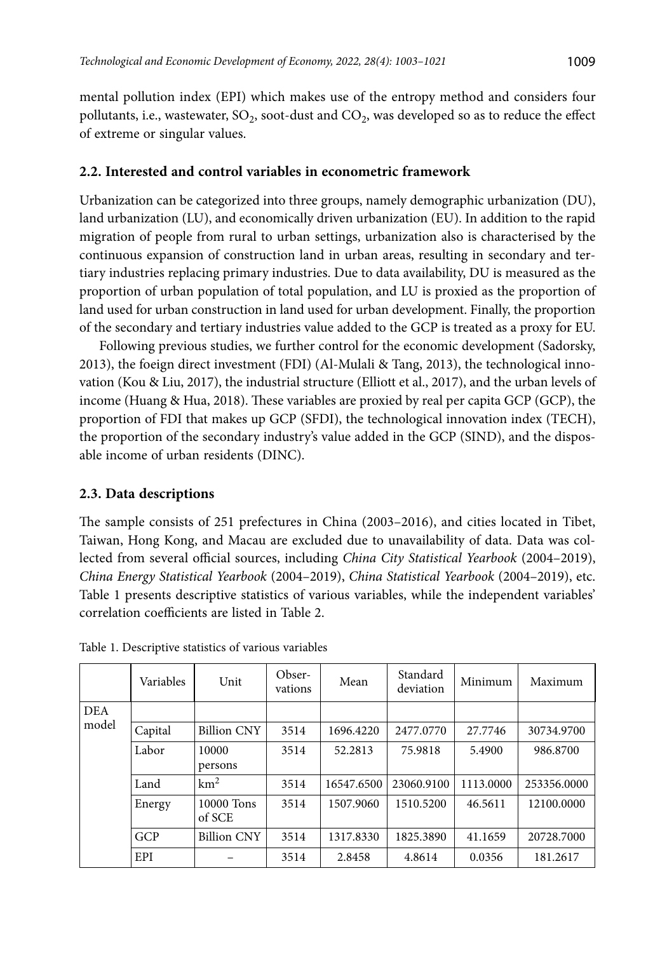mental pollution index (EPI) which makes use of the entropy method and considers four pollutants, i.e., wastewater,  $SO_2$ , soot-dust and  $CO_2$ , was developed so as to reduce the effect of extreme or singular values.

## **2.2. Interested and control variables in econometric framework**

Urbanization can be categorized into three groups, namely demographic urbanization (DU), land urbanization (LU), and economically driven urbanization (EU). In addition to the rapid migration of people from rural to urban settings, urbanization also is characterised by the continuous expansion of construction land in urban areas, resulting in secondary and tertiary industries replacing primary industries. Due to data availability, DU is measured as the proportion of urban population of total population, and LU is proxied as the proportion of land used for urban construction in land used for urban development. Finally, the proportion of the secondary and tertiary industries value added to the GCP is treated as a proxy for EU.

Following previous studies, we further control for the economic development (Sadorsky, 2013), the foeign direct investment (FDI) (Al-Mulali & Tang, 2013), the technological innovation (Kou & Liu, 2017), the industrial structure (Elliott et al., 2017), and the urban levels of income (Huang & Hua, 2018). These variables are proxied by real per capita GCP (GCP), the proportion of FDI that makes up GCP (SFDI), the technological innovation index (TECH), the proportion of the secondary industry's value added in the GCP (SIND), and the disposable income of urban residents (DINC).

## **2.3. Data descriptions**

The sample consists of 251 prefectures in China (2003–2016), and cities located in Tibet, Taiwan, Hong Kong, and Macau are excluded due to unavailability of data. Data was collected from several official sources, including *China City Statistical Yearbook* (2004–2019), *China Energy Statistical Yearbook* (2004–2019), *China Statistical Yearbook* (2004–2019), etc. Table 1 presents descriptive statistics of various variables, while the independent variables' correlation coefficients are listed in Table 2.

|            | Variables | Unit                 | Obser-<br>vations | Mean       | Standard<br>deviation | Minimum   | Maximum     |
|------------|-----------|----------------------|-------------------|------------|-----------------------|-----------|-------------|
| <b>DEA</b> |           |                      |                   |            |                       |           |             |
| model      | Capital   | <b>Billion CNY</b>   | 3514              | 1696.4220  | 2477.0770             | 27.7746   | 30734.9700  |
|            | Labor     | 10000<br>persons     | 3514              | 52.2813    | 75.9818               | 5.4900    | 986.8700    |
|            | Land      | $\rm km^2$           | 3514              | 16547.6500 | 23060.9100            | 1113.0000 | 253356.0000 |
|            | Energy    | 10000 Tons<br>of SCE | 3514              | 1507.9060  | 1510.5200             | 46.5611   | 12100.0000  |
|            | GCP       | <b>Billion CNY</b>   | 3514              | 1317.8330  | 1825.3890             | 41.1659   | 20728.7000  |
|            | EPI       |                      | 3514              | 2.8458     | 4.8614                | 0.0356    | 181.2617    |

Table 1. Descriptive statistics of various variables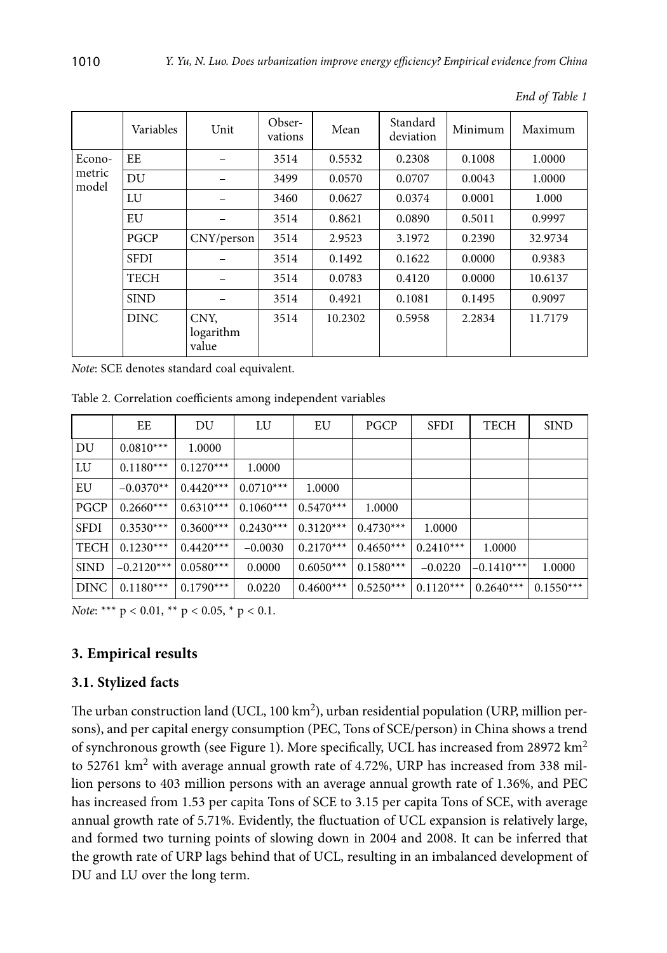|                 | Variables   | Unit                       | Obser-<br>vations | Mean    | Standard<br>deviation | Minimum | Maximum |
|-----------------|-------------|----------------------------|-------------------|---------|-----------------------|---------|---------|
| Econo-          | EE          |                            | 3514              | 0.5532  | 0.2308                | 0.1008  | 1.0000  |
| metric<br>model | DU          |                            | 3499              | 0.0570  | 0.0707                | 0.0043  | 1.0000  |
|                 | LU          |                            | 3460              | 0.0627  | 0.0374                | 0.0001  | 1.000   |
|                 | EU          |                            | 3514              | 0.8621  | 0.0890                | 0.5011  | 0.9997  |
|                 | <b>PGCP</b> | CNY/person                 | 3514              | 2.9523  | 3.1972                | 0.2390  | 32.9734 |
|                 | <b>SFDI</b> |                            | 3514              | 0.1492  | 0.1622                | 0.0000  | 0.9383  |
|                 | <b>TECH</b> |                            | 3514              | 0.0783  | 0.4120                | 0.0000  | 10.6137 |
|                 | <b>SIND</b> |                            | 3514              | 0.4921  | 0.1081                | 0.1495  | 0.9097  |
|                 | <b>DINC</b> | CNY,<br>logarithm<br>value | 3514              | 10.2302 | 0.5958                | 2.2834  | 11.7179 |

*End of Table 1*

*Note*: SCE denotes standard coal equivalent.

Table 2. Correlation coefficients among independent variables

|             | EE           | DU          | LU          | EU          | PGCP        | <b>SFDI</b> | <b>TECH</b>  | <b>SIND</b> |
|-------------|--------------|-------------|-------------|-------------|-------------|-------------|--------------|-------------|
| DU          | $0.0810***$  | 1.0000      |             |             |             |             |              |             |
| LU          | $0.1180***$  | $0.1270***$ | 1.0000      |             |             |             |              |             |
| EU          | $-0.0370**$  | $0.4420***$ | $0.0710***$ | 1.0000      |             |             |              |             |
| <b>PGCP</b> | $0.2660***$  | $0.6310***$ | $0.1060***$ | $0.5470***$ | 1.0000      |             |              |             |
| <b>SFDI</b> | $0.3530***$  | $0.3600***$ | $0.2430***$ | $0.3120***$ | $0.4730***$ | 1.0000      |              |             |
| <b>TECH</b> | $0.1230***$  | $0.4420***$ | $-0.0030$   | $0.2170***$ | $0.4650***$ | $0.2410***$ | 1.0000       |             |
| <b>SIND</b> | $-0.2120***$ | $0.0580***$ | 0.0000      | $0.6050***$ | $0.1580***$ | $-0.0220$   | $-0.1410***$ | 1.0000      |
| <b>DINC</b> | $0.1180***$  | $0.1790***$ | 0.0220      | $0.4600***$ | $0.5250***$ | $0.1120***$ | $0.2640***$  | $0.1550***$ |

*Note*: \*\*\* p < 0.01, \*\* p < 0.05, \* p < 0.1.

## **3. Empirical results**

### **3.1. Stylized facts**

The urban construction land (UCL, 100 km<sup>2</sup>), urban residential population (URP, million persons), and per capital energy consumption (PEC, Tons of SCE/person) in China shows a trend of synchronous growth (see Figure 1). More specifically, UCL has increased from 28972  $km^2$ to 52761 km<sup>2</sup> with average annual growth rate of 4.72%, URP has increased from 338 million persons to 403 million persons with an average annual growth rate of 1.36%, and PEC has increased from 1.53 per capita Tons of SCE to 3.15 per capita Tons of SCE, with average annual growth rate of 5.71%. Evidently, the fluctuation of UCL expansion is relatively large, and formed two turning points of slowing down in 2004 and 2008. It can be inferred that the growth rate of URP lags behind that of UCL, resulting in an imbalanced development of DU and LU over the long term.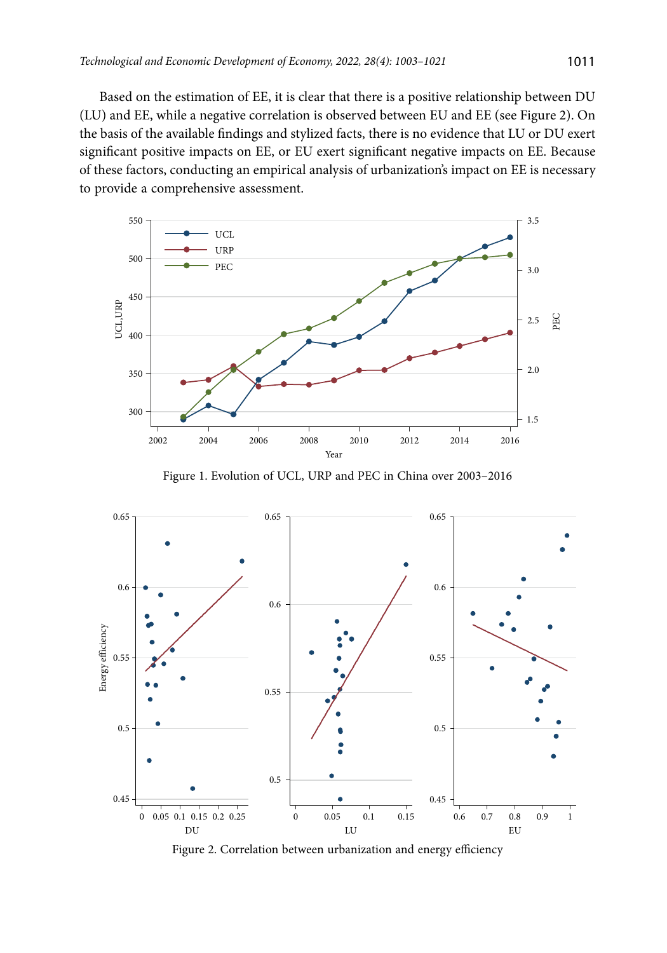Based on the estimation of EE, it is clear that there is a positive relationship between DU (LU) and EE, while a negative correlation is observed between EU and EE (see Figure 2). On the basis of the available findings and stylized facts, there is no evidence that LU or DU exert significant positive impacts on EE, or EU exert significant negative impacts on EE. Because of these factors, conducting an empirical analysis of urbanization's impact on EE is necessary to provide a comprehensive assessment.



Figure 1. Evolution of UCL, URP and PEC in China over 2003–2016



Figure 2. Correlation between urbanization and energy efficiency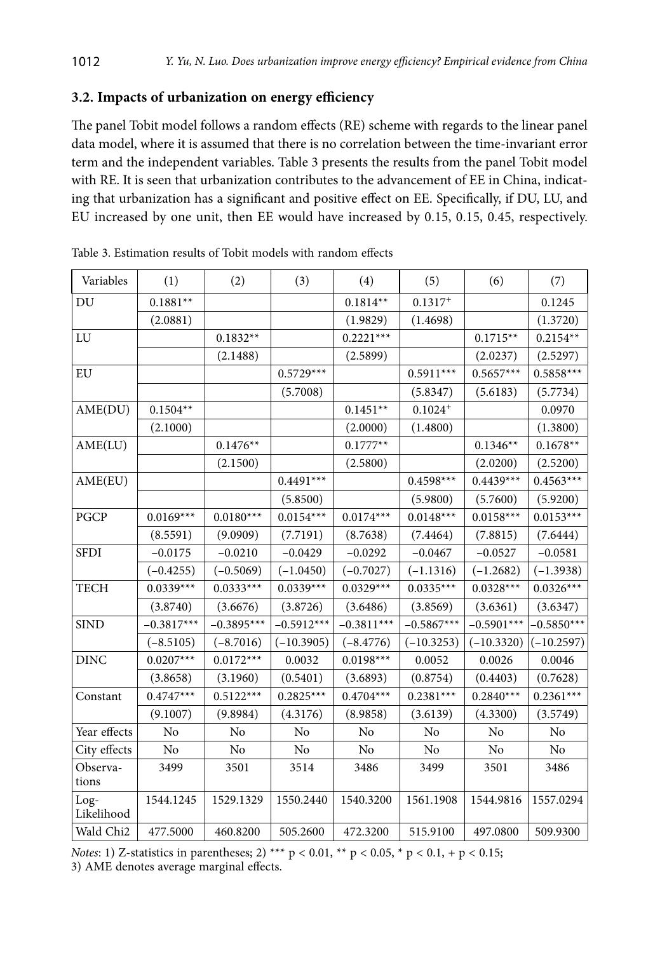## **3.2. Impacts of urbanization on energy efficiency**

The panel Tobit model follows a random effects (RE) scheme with regards to the linear panel data model, where it is assumed that there is no correlation between the time-invariant error term and the independent variables. Table 3 presents the results from the panel Tobit model with RE. It is seen that urbanization contributes to the advancement of EE in China, indicating that urbanization has a significant and positive effect on EE. Specifically, if DU, LU, and EU increased by one unit, then EE would have increased by 0.15, 0.15, 0.45, respectively.

| Variables          | (1)          | (2)          | (3)          | (4)          | (5)          | (6)          | (7)          |
|--------------------|--------------|--------------|--------------|--------------|--------------|--------------|--------------|
| DU                 | $0.1881**$   |              |              | $0.1814**$   | $0.1317+$    |              | 0.1245       |
|                    | (2.0881)     |              |              | (1.9829)     | (1.4698)     |              | (1.3720)     |
| LU                 |              | $0.1832**$   |              | $0.2221***$  |              | $0.1715**$   | $0.2154**$   |
|                    |              | (2.1488)     |              | (2.5899)     |              | (2.0237)     | (2.5297)     |
| EU                 |              |              | $0.5729***$  |              | $0.5911***$  | $0.5657***$  | $0.5858***$  |
|                    |              |              | (5.7008)     |              | (5.8347)     | (5.6183)     | (5.7734)     |
| AME(DU)            | $0.1504**$   |              |              | $0.1451**$   | $0.1024+$    |              | 0.0970       |
|                    | (2.1000)     |              |              | (2.0000)     | (1.4800)     |              | (1.3800)     |
| AME(LU)            |              | $0.1476**$   |              | $0.1777**$   |              | $0.1346**$   | $0.1678**$   |
|                    |              | (2.1500)     |              | (2.5800)     |              | (2.0200)     | (2.5200)     |
| AME(EU)            |              |              | $0.4491***$  |              | $0.4598***$  | $0.4439***$  | $0.4563***$  |
|                    |              |              | (5.8500)     |              | (5.9800)     | (5.7600)     | (5.9200)     |
| PGCP               | $0.0169***$  | $0.0180***$  | $0.0154***$  | $0.0174***$  | $0.0148***$  | $0.0158***$  | $0.0153***$  |
|                    | (8.5591)     | (9.0909)     | (7.7191)     | (8.7638)     | (7.4464)     | (7.8815)     | (7.6444)     |
| <b>SFDI</b>        | $-0.0175$    | $-0.0210$    | $-0.0429$    | $-0.0292$    | $-0.0467$    | $-0.0527$    | $-0.0581$    |
|                    | $(-0.4255)$  | $(-0.5069)$  | $(-1.0450)$  | $(-0.7027)$  | $(-1.1316)$  | $(-1.2682)$  | $(-1.3938)$  |
| <b>TECH</b>        | $0.0339***$  | $0.0333***$  | $0.0339***$  | $0.0329***$  | $0.0335***$  | $0.0328***$  | $0.0326***$  |
|                    | (3.8740)     | (3.6676)     | (3.8726)     | (3.6486)     | (3.8569)     | (3.6361)     | (3.6347)     |
| <b>SIND</b>        | $-0.3817***$ | $-0.3895***$ | $-0.5912***$ | $-0.3811***$ | $-0.5867***$ | $-0.5901***$ | $-0.5850***$ |
|                    | $(-8.5105)$  | $(-8.7016)$  | $(-10.3905)$ | $(-8.4776)$  | $(-10.3253)$ | $(-10.3320)$ | $(-10.2597)$ |
| <b>DINC</b>        | $0.0207***$  | $0.0172***$  | 0.0032       | $0.0198***$  | 0.0052       | 0.0026       | 0.0046       |
|                    | (3.8658)     | (3.1960)     | (0.5401)     | (3.6893)     | (0.8754)     | (0.4403)     | (0.7628)     |
| Constant           | $0.4747***$  | $0.5122***$  | $0.2825***$  | $0.4704***$  | $0.2381***$  | $0.2840***$  | $0.2361***$  |
|                    | (9.1007)     | (9.8984)     | (4.3176)     | (8.9858)     | (3.6139)     | (4.3300)     | (3.5749)     |
| Year effects       | No           | No           | No           | No           | No           | No           | No           |
| City effects       | No           | No           | No           | No           | No           | No           | No           |
| Observa-<br>tions  | 3499         | 3501         | 3514         | 3486         | 3499         | 3501         | 3486         |
| Log-<br>Likelihood | 1544.1245    | 1529.1329    | 1550.2440    | 1540.3200    | 1561.1908    | 1544.9816    | 1557.0294    |
| Wald Chi2          | 477.5000     | 460.8200     | 505.2600     | 472.3200     | 515.9100     | 497.0800     | 509.9300     |

Table 3. Estimation results of Tobit models with random effects

*Notes*: 1) Z-statistics in parentheses; 2) \*\*\*  $p < 0.01$ , \*\*  $p < 0.05$ , \*  $p < 0.1$ , +  $p < 0.15$ ; 3) AME denotes average marginal effects.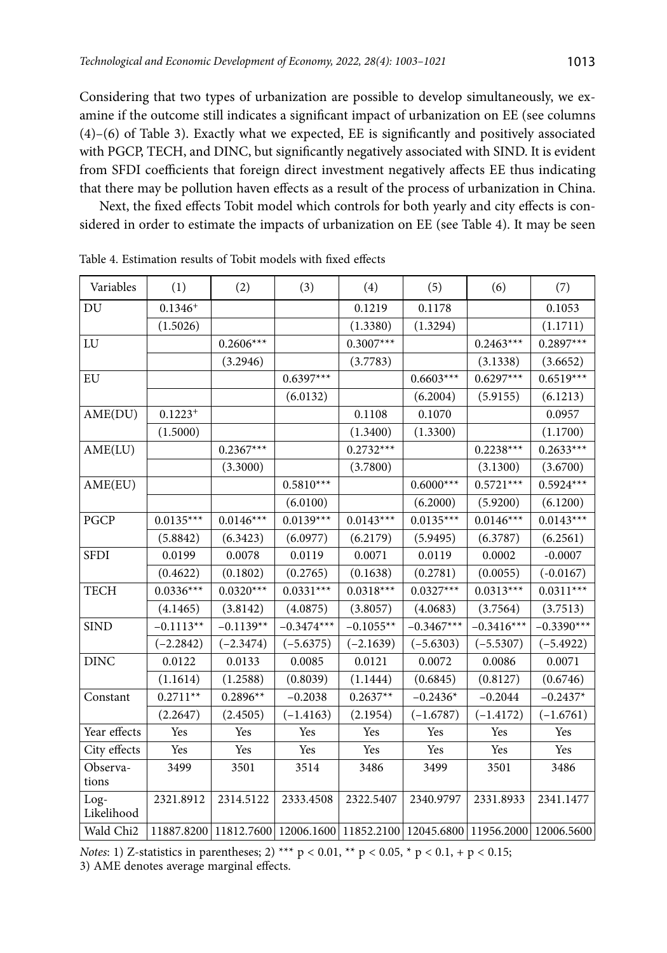Considering that two types of urbanization are possible to develop simultaneously, we examine if the outcome still indicates a significant impact of urbanization on EE (see columns (4)–(6) of Table 3). Exactly what we expected, EE is significantly and positively associated with PGCP, TECH, and DINC, but significantly negatively associated with SIND. It is evident from SFDI coefficients that foreign direct investment negatively affects EE thus indicating that there may be pollution haven effects as a result of the process of urbanization in China.

Next, the fixed effects Tobit model which controls for both yearly and city effects is considered in order to estimate the impacts of urbanization on EE (see Table 4). It may be seen

| Variables          | (1)          | (2)                                                                          | (3)          | (4)         | (5)          | (6)          | (7)          |
|--------------------|--------------|------------------------------------------------------------------------------|--------------|-------------|--------------|--------------|--------------|
| DU                 | $0.1346^{+}$ |                                                                              |              | 0.1219      | 0.1178       |              | 0.1053       |
|                    | (1.5026)     |                                                                              |              | (1.3380)    | (1.3294)     |              | (1.1711)     |
| LU                 |              | $0.2606***$                                                                  |              | $0.3007***$ |              | $0.2463***$  | $0.2897***$  |
|                    |              | (3.2946)                                                                     |              | (3.7783)    |              | (3.1338)     | (3.6652)     |
| EU                 |              |                                                                              | $0.6397***$  |             | $0.6603***$  | $0.6297***$  | $0.6519***$  |
|                    |              |                                                                              | (6.0132)     |             | (6.2004)     | (5.9155)     | (6.1213)     |
| AME(DU)            | $0.1223^{+}$ |                                                                              |              | 0.1108      | 0.1070       |              | 0.0957       |
|                    | (1.5000)     |                                                                              |              | (1.3400)    | (1.3300)     |              | (1.1700)     |
| AME(LU)            |              | $0.2367***$                                                                  |              | $0.2732***$ |              | $0.2238***$  | $0.2633***$  |
|                    |              | (3.3000)                                                                     |              | (3.7800)    |              | (3.1300)     | (3.6700)     |
| AME(EU)            |              |                                                                              | $0.5810***$  |             | $0.6000***$  | $0.5721***$  | $0.5924***$  |
|                    |              |                                                                              | (6.0100)     |             | (6.2000)     | (5.9200)     | (6.1200)     |
| PGCP               | $0.0135***$  | $0.0146***$                                                                  | $0.0139***$  | $0.0143***$ | $0.0135***$  | $0.0146***$  | $0.0143***$  |
|                    | (5.8842)     | (6.3423)                                                                     | (6.0977)     | (6.2179)    | (5.9495)     | (6.3787)     | (6.2561)     |
| <b>SFDI</b>        | 0.0199       | 0.0078                                                                       | 0.0119       | 0.0071      | 0.0119       | 0.0002       | $-0.0007$    |
|                    | (0.4622)     | (0.1802)                                                                     | (0.2765)     | (0.1638)    | (0.2781)     | (0.0055)     | $(-0.0167)$  |
| <b>TECH</b>        | $0.0336***$  | $0.0320***$                                                                  | $0.0331***$  | $0.0318***$ | $0.0327***$  | $0.0313***$  | $0.0311***$  |
|                    | (4.1465)     | (3.8142)                                                                     | (4.0875)     | (3.8057)    | (4.0683)     | (3.7564)     | (3.7513)     |
| <b>SIND</b>        | $-0.1113**$  | $-0.1139**$                                                                  | $-0.3474***$ | $-0.1055**$ | $-0.3467***$ | $-0.3416***$ | $-0.3390***$ |
|                    | $(-2.2842)$  | $(-2.3474)$                                                                  | $(-5.6375)$  | $(-2.1639)$ | $(-5.6303)$  | $(-5.5307)$  | $(-5.4922)$  |
| <b>DINC</b>        | 0.0122       | 0.0133                                                                       | 0.0085       | 0.0121      | 0.0072       | 0.0086       | 0.0071       |
|                    | (1.1614)     | (1.2588)                                                                     | (0.8039)     | (1.1444)    | (0.6845)     | (0.8127)     | (0.6746)     |
| Constant           | $0.2711**$   | $0.2896**$                                                                   | $-0.2038$    | $0.2637**$  | $-0.2436*$   | $-0.2044$    | $-0.2437*$   |
|                    | (2.2647)     | (2.4505)                                                                     | $(-1.4163)$  | (2.1954)    | $(-1.6787)$  | $(-1.4172)$  | $(-1.6761)$  |
| Year effects       | Yes          | Yes                                                                          | Yes          | Yes         | Yes          | Yes          | Yes          |
| City effects       | Yes          | Yes                                                                          | Yes          | Yes         | Yes          | Yes          | Yes          |
| Observa-<br>tions  | 3499         | 3501                                                                         | 3514         | 3486        | 3499         | 3501         | 3486         |
| Log-<br>Likelihood | 2321.8912    | 2314.5122                                                                    | 2333.4508    | 2322.5407   | 2340.9797    | 2331.8933    | 2341.1477    |
| Wald Chi2          |              | 11887.8200 11812.7600 12006.1600 11852.2100 12045.6800 11956.2000 12006.5600 |              |             |              |              |              |

Table 4. Estimation results of Tobit models with fixed effects

*Notes*: 1) Z-statistics in parentheses; 2) \*\*\* p < 0.01, \*\* p < 0.05, \* p < 0.1, + p < 0.15; 3) AME denotes average marginal effects.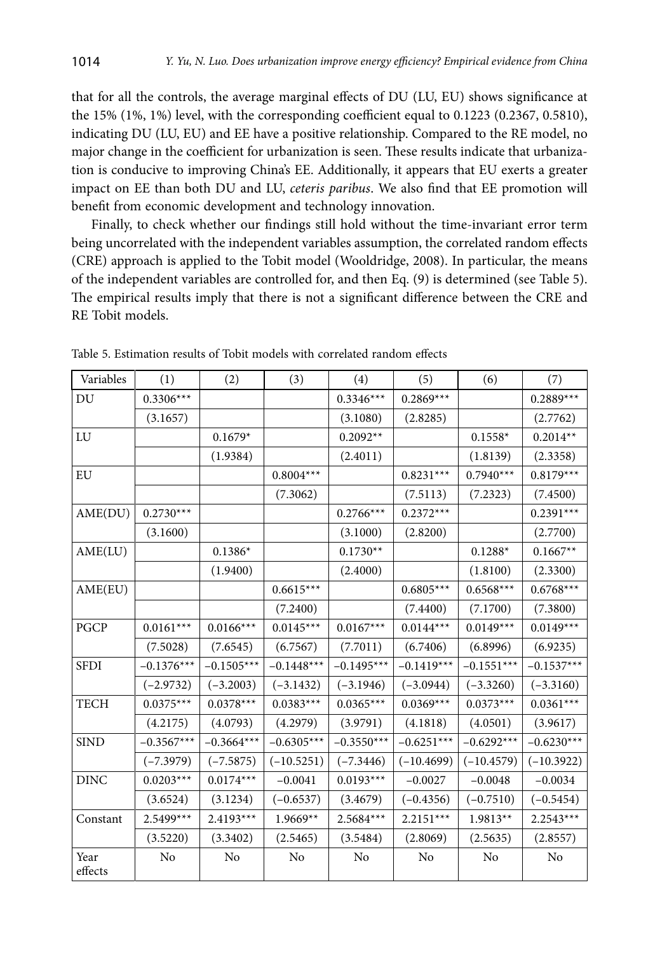that for all the controls, the average marginal effects of DU (LU, EU) shows significance at the 15% (1%, 1%) level, with the corresponding coefficient equal to 0.1223 (0.2367, 0.5810), indicating DU (LU, EU) and EE have a positive relationship. Compared to the RE model, no major change in the coefficient for urbanization is seen. These results indicate that urbanization is conducive to improving China's EE. Additionally, it appears that EU exerts a greater impact on EE than both DU and LU, *ceteris paribus*. We also find that EE promotion will benefit from economic development and technology innovation.

Finally, to check whether our findings still hold without the time-invariant error term being uncorrelated with the independent variables assumption, the correlated random effects (CRE) approach is applied to the Tobit model (Wooldridge, 2008). In particular, the means of the independent variables are controlled for, and then Eq. (9) is determined (see Table 5). The empirical results imply that there is not a significant difference between the CRE and RE Tobit models.

| Variables       | (1)          | (2)          | (3)          | (4)          | (5)          | (6)          | (7)          |
|-----------------|--------------|--------------|--------------|--------------|--------------|--------------|--------------|
| DU              | $0.3306***$  |              |              | $0.3346***$  | $0.2869***$  |              | $0.2889***$  |
|                 | (3.1657)     |              |              | (3.1080)     | (2.8285)     |              | (2.7762)     |
| LU              |              | $0.1679*$    |              | $0.2092**$   |              | $0.1558*$    | $0.2014**$   |
|                 |              | (1.9384)     |              | (2.4011)     |              | (1.8139)     | (2.3358)     |
| EU              |              |              | $0.8004***$  |              | $0.8231***$  | $0.7940***$  | $0.8179***$  |
|                 |              |              | (7.3062)     |              | (7.5113)     | (7.2323)     | (7.4500)     |
| AME(DU)         | $0.2730***$  |              |              | $0.2766***$  | $0.2372***$  |              | $0.2391***$  |
|                 | (3.1600)     |              |              | (3.1000)     | (2.8200)     |              | (2.7700)     |
| AME(LU)         |              | $0.1386*$    |              | $0.1730**$   |              | $0.1288*$    | $0.1667**$   |
|                 |              | (1.9400)     |              | (2.4000)     |              | (1.8100)     | (2.3300)     |
| AME(EU)         |              |              | $0.6615***$  |              | $0.6805***$  | $0.6568***$  | $0.6768***$  |
|                 |              |              | (7.2400)     |              | (7.4400)     | (7.1700)     | (7.3800)     |
| PGCP            | $0.0161***$  | $0.0166***$  | $0.0145***$  | $0.0167***$  | $0.0144***$  | $0.0149***$  | $0.0149***$  |
|                 | (7.5028)     | (7.6545)     | (6.7567)     | (7.7011)     | (6.7406)     | (6.8996)     | (6.9235)     |
| <b>SFDI</b>     | $-0.1376***$ | $-0.1505***$ | $-0.1448***$ | $-0.1495***$ | $-0.1419***$ | $-0.1551***$ | $-0.1537***$ |
|                 | $(-2.9732)$  | $(-3.2003)$  | $(-3.1432)$  | $(-3.1946)$  | $(-3.0944)$  | $(-3.3260)$  | $(-3.3160)$  |
| <b>TECH</b>     | $0.0375***$  | $0.0378***$  | $0.0383***$  | $0.0365***$  | $0.0369***$  | $0.0373***$  | $0.0361***$  |
|                 | (4.2175)     | (4.0793)     | (4.2979)     | (3.9791)     | (4.1818)     | (4.0501)     | (3.9617)     |
| <b>SIND</b>     | $-0.3567***$ | $-0.3664***$ | $-0.6305***$ | $-0.3550***$ | $-0.6251***$ | $-0.6292***$ | $-0.6230***$ |
|                 | $(-7.3979)$  | $(-7.5875)$  | $(-10.5251)$ | $(-7.3446)$  | $(-10.4699)$ | $(-10.4579)$ | $(-10.3922)$ |
| <b>DINC</b>     | $0.0203***$  | $0.0174***$  | $-0.0041$    | $0.0193***$  | $-0.0027$    | $-0.0048$    | $-0.0034$    |
|                 | (3.6524)     | (3.1234)     | $(-0.6537)$  | (3.4679)     | $(-0.4356)$  | $(-0.7510)$  | $(-0.5454)$  |
| Constant        | 2.5499***    | $2.4193***$  | 1.9669**     | $2.5684***$  | $2.2151***$  | 1.9813**     | 2.2543***    |
|                 | (3.5220)     | (3.3402)     | (2.5465)     | (3.5484)     | (2.8069)     | (2.5635)     | (2.8557)     |
| Year<br>effects | No           | No           | No           | No           | No           | No           | No           |

Table 5. Estimation results of Tobit models with correlated random effects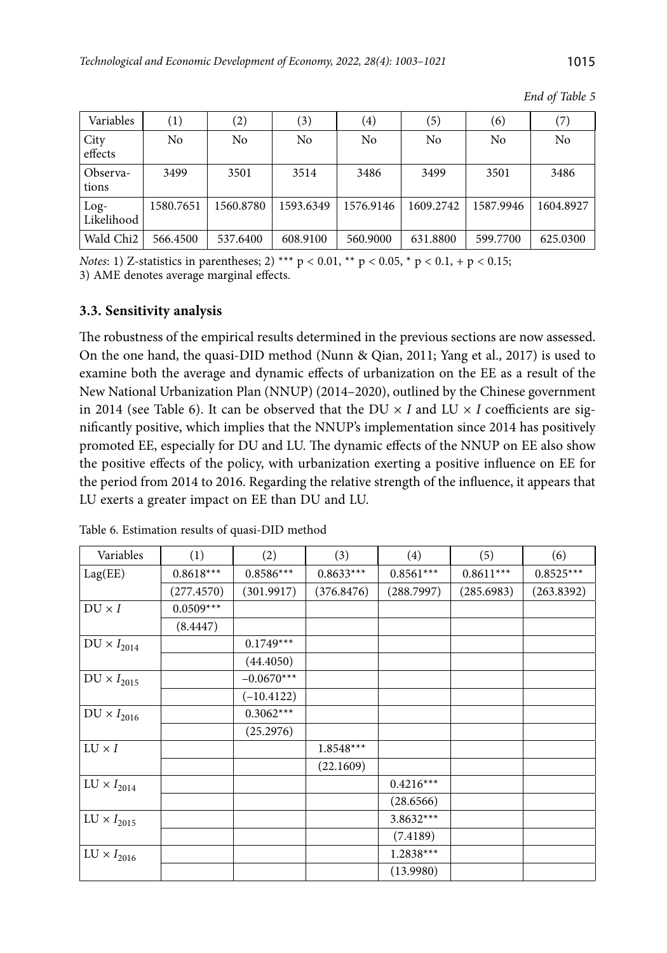*End of Table 5*

| Variables             | $\left(1\right)$ | (2)            | (3)       | $\left( 4\right)$ | (5)       | (6)       | (7)       |
|-----------------------|------------------|----------------|-----------|-------------------|-----------|-----------|-----------|
| City<br>effects       | No               | N <sub>0</sub> | No        | No                | No        | No        | No        |
| Observa-<br>tions     | 3499             | 3501           | 3514      | 3486              | 3499      | 3501      | 3486      |
| $Log-$<br>Likelihood  | 1580.7651        | 1560.8780      | 1593.6349 | 1576.9146         | 1609.2742 | 1587.9946 | 1604.8927 |
| Wald Chi <sub>2</sub> | 566.4500         | 537.6400       | 608.9100  | 560.9000          | 631.8800  | 599.7700  | 625.0300  |

*Notes*: 1) Z-statistics in parentheses; 2) \*\*\*  $p < 0.01$ , \*\*  $p < 0.05$ , \*  $p < 0.1$ , +  $p < 0.15$ ; 3) AME denotes average marginal effects.

## **3.3. Sensitivity analysis**

The robustness of the empirical results determined in the previous sections are now assessed. On the one hand, the quasi-DID method (Nunn & Qian, 2011; Yang et al., 2017) is used to examine both the average and dynamic effects of urbanization on the EE as a result of the New National Urbanization Plan (NNUP) (2014–2020), outlined by the Chinese government in 2014 (see Table 6). It can be observed that the DU  $\times$  *I* and LU  $\times$  *I* coefficients are significantly positive, which implies that the NNUP's implementation since 2014 has positively promoted EE, especially for DU and LU. The dynamic effects of the NNUP on EE also show the positive effects of the policy, with urbanization exerting a positive influence on EE for the period from 2014 to 2016. Regarding the relative strength of the influence, it appears that LU exerts a greater impact on EE than DU and LU.

| Variables                   | (1)         | (2)          | (3)         | (4)         | (5)         | (6)         |
|-----------------------------|-------------|--------------|-------------|-------------|-------------|-------------|
| Lag(EE)                     | $0.8618***$ | $0.8586***$  | $0.8633***$ | $0.8561***$ | $0.8611***$ | $0.8525***$ |
|                             | (277.4570)  | (301.9917)   | (376.8476)  | (288.7997)  | (285.6983)  | (263.8392)  |
| $DU \times I$               | $0.0509***$ |              |             |             |             |             |
|                             | (8.4447)    |              |             |             |             |             |
| $\text{DU} \times I_{2014}$ |             | $0.1749***$  |             |             |             |             |
|                             |             | (44.4050)    |             |             |             |             |
| $\text{DU} \times I_{2015}$ |             | $-0.0670***$ |             |             |             |             |
|                             |             | $(-10.4122)$ |             |             |             |             |
| $\text{DU} \times I_{2016}$ |             | $0.3062***$  |             |             |             |             |
|                             |             | (25.2976)    |             |             |             |             |
| $LU \times I$               |             |              | $1.8548***$ |             |             |             |
|                             |             |              | (22.1609)   |             |             |             |
| $\text{LU} \times I_{2014}$ |             |              |             | $0.4216***$ |             |             |
|                             |             |              |             | (28.6566)   |             |             |
| $\text{LU} \times I_{2015}$ |             |              |             | $3.8632***$ |             |             |
|                             |             |              |             | (7.4189)    |             |             |
| $\text{LU} \times I_{2016}$ |             |              |             | $1.2838***$ |             |             |
|                             |             |              |             | (13.9980)   |             |             |

Table 6. Estimation results of quasi-DID method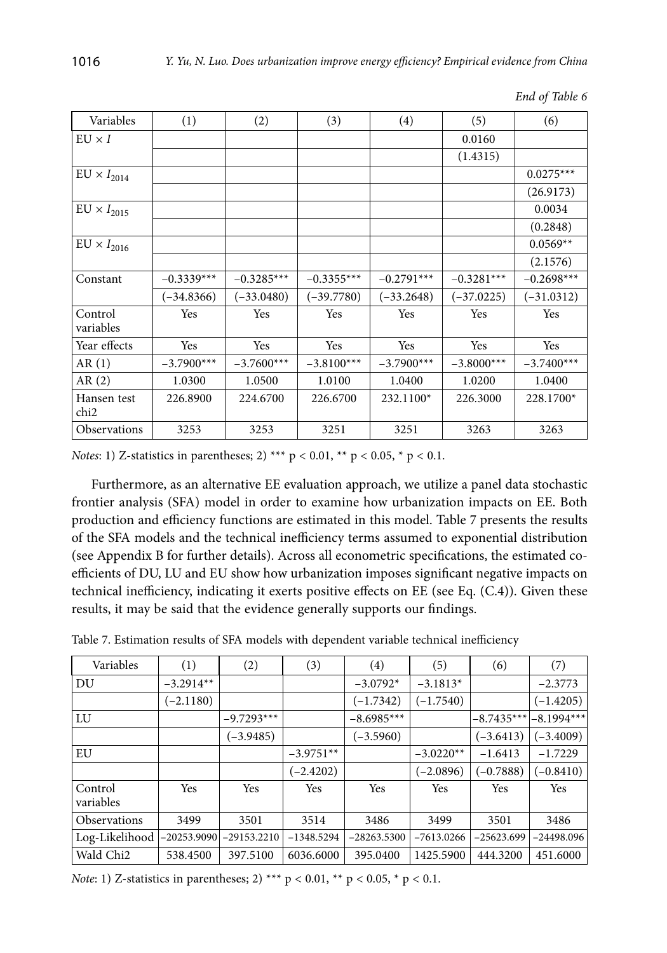| Variables                       | (1)          | (2)          | (3)          | (4)          | (5)          | (6)          |
|---------------------------------|--------------|--------------|--------------|--------------|--------------|--------------|
| $EU \times I$                   |              |              |              |              | 0.0160       |              |
|                                 |              |              |              |              | (1.4315)     |              |
| $EU \times I_{2014}$            |              |              |              |              |              | $0.0275***$  |
|                                 |              |              |              |              |              | (26.9173)    |
| $EU \times I_{2015}$            |              |              |              |              |              | 0.0034       |
|                                 |              |              |              |              |              | (0.2848)     |
| $EU \times I_{2016}$            |              |              |              |              |              | $0.0569**$   |
|                                 |              |              |              |              |              | (2.1576)     |
| Constant                        | $-0.3339***$ | $-0.3285***$ | $-0.3355***$ | $-0.2791***$ | $-0.3281***$ | $-0.2698***$ |
|                                 | $(-34.8366)$ | $(-33.0480)$ | $(-39.7780)$ | $(-33.2648)$ | $(-37.0225)$ | $(-31.0312)$ |
| Control<br>variables            | Yes          | Yes          | Yes          | Yes          | Yes          | Yes          |
| Year effects                    | Yes          | Yes          | Yes          | Yes          | Yes          | Yes          |
| AR(1)                           | $-3.7900***$ | $-3.7600***$ | $-3.8100***$ | $-3.7900***$ | $-3.8000***$ | $-3.7400***$ |
| AR(2)                           | 1.0300       | 1.0500       | 1.0100       | 1.0400       | 1.0200       | 1.0400       |
| Hansen test<br>chi <sub>2</sub> | 226.8900     | 224.6700     | 226.6700     | 232.1100*    | 226.3000     | 228.1700*    |
| Observations                    | 3253         | 3253         | 3251         | 3251         | 3263         | 3263         |

*End of Table 6*

*Notes*: 1) Z-statistics in parentheses; 2) \*\*\* p < 0.01, \*\* p < 0.05, \* p < 0.1.

Furthermore, as an alternative EE evaluation approach, we utilize a panel data stochastic frontier analysis (SFA) model in order to examine how urbanization impacts on EE. Both production and efficiency functions are estimated in this model. Table 7 presents the results of the SFA models and the technical inefficiency terms assumed to exponential distribution (see Appendix B for further details). Across all econometric specifications, the estimated coefficients of DU, LU and EU show how urbanization imposes significant negative impacts on technical inefficiency, indicating it exerts positive effects on EE (see Eq. (C.4)). Given these results, it may be said that the evidence generally supports our findings.

|  | Table 7. Estimation results of SFA models with dependent variable technical inefficiency |  |  |  |  |  |  |  |
|--|------------------------------------------------------------------------------------------|--|--|--|--|--|--|--|
|--|------------------------------------------------------------------------------------------|--|--|--|--|--|--|--|

| Variables             | (1)           | (2)           | (3)          | (4)           | (5)          | (6)          | (7)          |
|-----------------------|---------------|---------------|--------------|---------------|--------------|--------------|--------------|
| DU                    | $-3.2914**$   |               |              | $-3.0792*$    | $-3.1813*$   |              | $-2.3773$    |
|                       | $(-2.1180)$   |               |              | $(-1.7342)$   | $(-1.7540)$  |              | $(-1.4205)$  |
| LU                    |               | $-9.7293***$  |              | $-8.6985***$  |              | $-8.7435***$ | $-8.1994***$ |
|                       |               | $(-3.9485)$   |              | $(-3.5960)$   |              | $(-3.6413)$  | $(-3.4009)$  |
| EU                    |               |               | $-3.9751**$  |               | $-3.0220**$  | $-1.6413$    | $-1.7229$    |
|                       |               |               | $(-2.4202)$  |               | $(-2.0896)$  | $(-0.7888)$  | $(-0.8410)$  |
| Control<br>variables  | Yes           | Yes           | Yes          | Yes           | Yes          | Yes          | Yes          |
| <b>Observations</b>   | 3499          | 3501          | 3514         | 3486          | 3499         | 3501         | 3486         |
| Log-Likelihood        | $-20253.9090$ | $-29153.2210$ | $-1348.5294$ | $-28263.5300$ | $-7613.0266$ | $-25623.699$ | $-24498.096$ |
| Wald Chi <sub>2</sub> | 538.4500      | 397.5100      | 6036.6000    | 395.0400      | 1425.5900    | 444.3200     | 451.6000     |

*Note*: 1) Z-statistics in parentheses; 2) \*\*\*  $p < 0.01$ , \*\*  $p < 0.05$ , \*  $p < 0.1$ .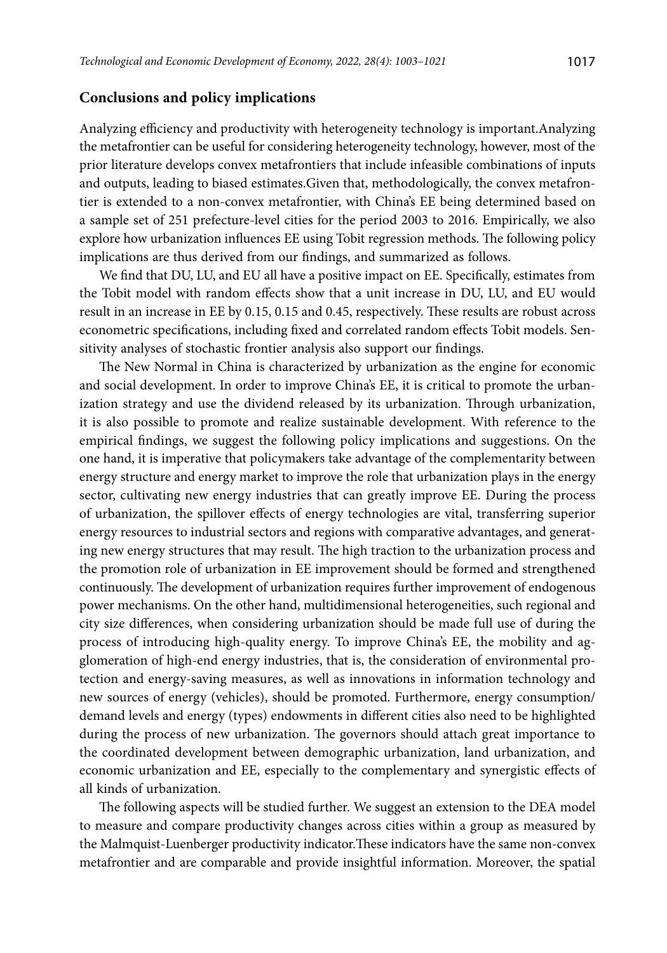## **Conclusions and policy implications**

Analyzing efficiency and productivity with heterogeneity technology is important.Analyzing the metafrontier can be useful for considering heterogeneity technology, however, most of the prior literature develops convex metafrontiers that include infeasible combinations of inputs and outputs, leading to biased estimates.Given that, methodologically, the convex metafrontier is extended to a non-convex metafrontier, with China's EE being determined based on a sample set of 251 prefecture-level cities for the period 2003 to 2016. Empirically, we also explore how urbanization influences EE using Tobit regression methods. The following policy implications are thus derived from our findings, and summarized as follows.

We find that DU, LU, and EU all have a positive impact on EE. Specifically, estimates from the Tobit model with random effects show that a unit increase in DU, LU, and EU would result in an increase in EE by 0.15, 0.15 and 0.45, respectively. These results are robust across econometric specifications, including fixed and correlated random effects Tobit models. Sensitivity analyses of stochastic frontier analysis also support our findings.

The New Normal in China is characterized by urbanization as the engine for economic and social development. In order to improve China's EE, it is critical to promote the urbanization strategy and use the dividend released by its urbanization. Through urbanization, it is also possible to promote and realize sustainable development. With reference to the empirical findings, we suggest the following policy implications and suggestions. On the one hand, it is imperative that policymakers take advantage of the complementarity between energy structure and energy market to improve the role that urbanization plays in the energy sector, cultivating new energy industries that can greatly improve EE. During the process of urbanization, the spillover effects of energy technologies are vital, transferring superior energy resources to industrial sectors and regions with comparative advantages, and generating new energy structures that may result. The high traction to the urbanization process and the promotion role of urbanization in EE improvement should be formed and strengthened continuously. The development of urbanization requires further improvement of endogenous power mechanisms. On the other hand, multidimensional heterogeneities, such regional and city size differences, when considering urbanization should be made full use of during the process of introducing high-quality energy. To improve China's EE, the mobility and agglomeration of high-end energy industries, that is, the consideration of environmental protection and energy-saving measures, as well as innovations in information technology and new sources of energy (vehicles), should be promoted. Furthermore, energy consumption/ demand levels and energy (types) endowments in different cities also need to be highlighted during the process of new urbanization. The governors should attach great importance to the coordinated development between demographic urbanization, land urbanization, and economic urbanization and EE, especially to the complementary and synergistic effects of all kinds of urbanization.

The following aspects will be studied further. We suggest an extension to the DEA model to measure and compare productivity changes across cities within a group as measured by the Malmquist-Luenberger productivity indicator.These indicators have the same non-convex metafrontier and are comparable and provide insightful information. Moreover, the spatial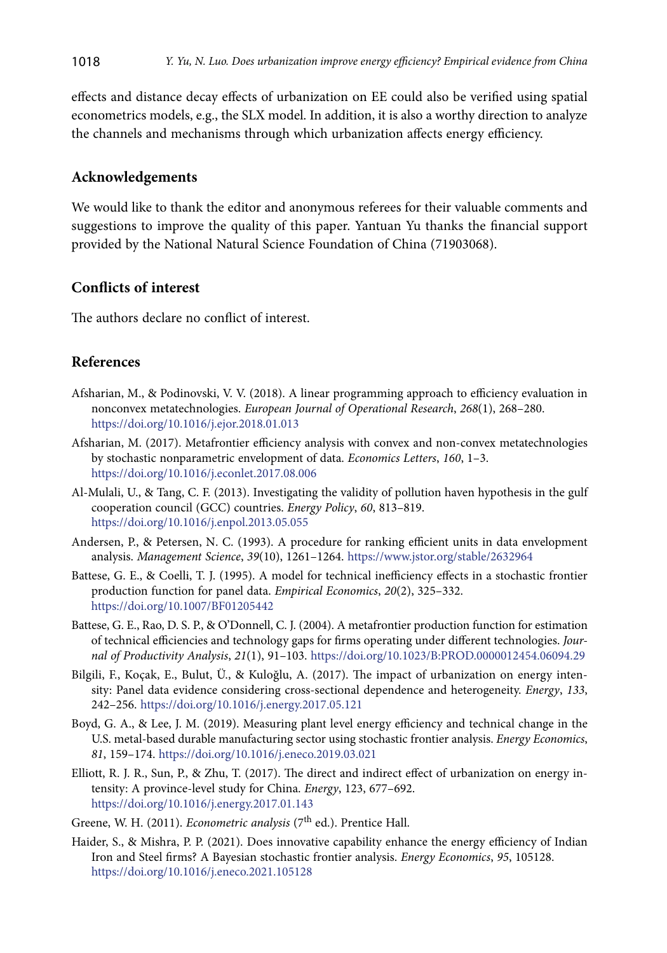effects and distance decay effects of urbanization on EE could also be verified using spatial econometrics models, e.g., the SLX model. In addition, it is also a worthy direction to analyze the channels and mechanisms through which urbanization affects energy efficiency.

#### **Acknowledgements**

We would like to thank the editor and anonymous referees for their valuable comments and suggestions to improve the quality of this paper. Yantuan Yu thanks the financial support provided by the National Natural Science Foundation of China (71903068).

# **Conflicts of interest**

The authors declare no conflict of interest.

## **References**

- Afsharian, M., & Podinovski, V. V. (2018). A linear programming approach to efficiency evaluation in nonconvex metatechnologies. *European Journal of Operational Research*, *268*(1), 268–280. <https://doi.org/10.1016/j.ejor.2018.01.013>
- Afsharian, M. (2017). Metafrontier efficiency analysis with convex and non-convex metatechnologies by stochastic nonparametric envelopment of data. *Economics Letters*, *160*, 1–3. <https://doi.org/10.1016/j.econlet.2017.08.006>
- Al-Mulali, U., & Tang, C. F. (2013). Investigating the validity of pollution haven hypothesis in the gulf cooperation council (GCC) countries. *Energy Policy*, *60*, 813–819. <https://doi.org/10.1016/j.enpol.2013.05.055>
- Andersen, P., & Petersen, N. C. (1993). A procedure for ranking efficient units in data envelopment analysis. *Management Science*, *39*(10), 1261–1264. <https://www.jstor.org/stable/2632964>
- Battese, G. E., & Coelli, T. J. (1995). A model for technical inefficiency effects in a stochastic frontier production function for panel data. *Empirical Economics*, *20*(2), 325–332. <https://doi.org/10.1007/BF01205442>
- Battese, G. E., Rao, D. S. P., & O'Donnell, C. J. (2004). A metafrontier production function for estimation of technical efficiencies and technology gaps for firms operating under different technologies. *Journal of Productivity Analysis*, *21*(1), 91–103. <https://doi.org/10.1023/B:PROD.0000012454.06094.29>
- Bilgili, F., Koçak, E., Bulut, Ü., & Kuloğlu, A. (2017). The impact of urbanization on energy intensity: Panel data evidence considering cross-sectional dependence and heterogeneity. *Energy*, *133*, 242–256. <https://doi.org/10.1016/j.energy.2017.05.121>
- Boyd, G. A., & Lee, J. M. (2019). Measuring plant level energy efficiency and technical change in the U.S. metal-based durable manufacturing sector using stochastic frontier analysis. *Energy Economics*, *81*, 159–174. <https://doi.org/10.1016/j.eneco.2019.03.021>
- Elliott, R. J. R., Sun, P., & Zhu, T. (2017). The direct and indirect effect of urbanization on energy intensity: A province-level study for China. *Energy*, 123, 677–692. <https://doi.org/10.1016/j.energy.2017.01.143>
- Greene, W. H. (2011). *Econometric analysis* (7<sup>th</sup> ed.). Prentice Hall.
- Haider, S., & Mishra, P. P. (2021). Does innovative capability enhance the energy efficiency of Indian Iron and Steel firms? A Bayesian stochastic frontier analysis. *Energy Economics*, *95*, 105128. <https://doi.org/10.1016/j.eneco.2021.105128>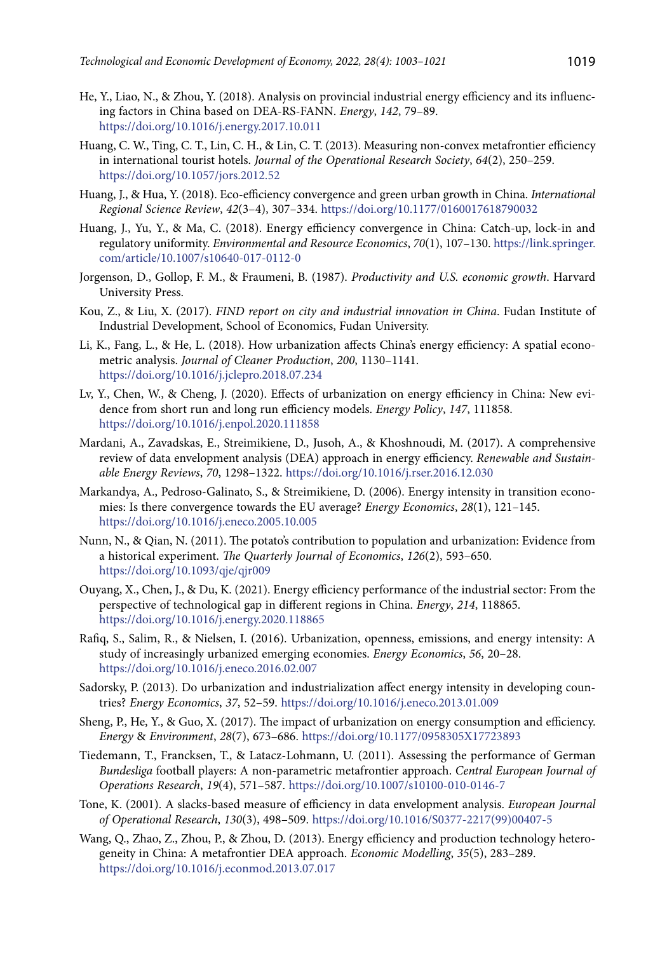- He, Y., Liao, N., & Zhou, Y. (2018). Analysis on provincial industrial energy efficiency and its influencing factors in China based on DEA-RS-FANN. *Energy*, *142*, 79–89. <https://doi.org/10.1016/j.energy.2017.10.011>
- Huang, C. W., Ting, C. T., Lin, C. H., & Lin, C. T. (2013). Measuring non-convex metafrontier efficiency in international tourist hotels. *Journal of the Operational Research Society*, *64*(2), 250–259. <https://doi.org/10.1057/jors.2012.52>
- Huang, J., & Hua, Y. (2018). Eco-efficiency convergence and green urban growth in China. *International Regional Science Review*, *42*(3–4), 307–334. <https://doi.org/10.1177/0160017618790032>
- Huang, J., Yu, Y., & Ma, C. (2018). Energy efficiency convergence in China: Catch-up, lock-in and regulatory uniformity. *Environmental and Resource Economics*, *70*(1), 107–130. [https://link.springer.](https://link.springer.com/article/10.1007/s10640-017-0112-0) [com/article/10.1007/s10640-017-0112-0](https://link.springer.com/article/10.1007/s10640-017-0112-0)
- Jorgenson, D., Gollop, F. M., & Fraumeni, B. (1987). *Productivity and U.S. economic growth*. Harvard University Press.
- Kou, Z., & Liu, X. (2017). *FIND report on city and industrial innovation in China*. Fudan Institute of Industrial Development, School of Economics, Fudan University.
- Li, K., Fang, L., & He, L. (2018). How urbanization affects China's energy efficiency: A spatial econometric analysis. *Journal of Cleaner Production*, *200*, 1130–1141. <https://doi.org/10.1016/j.jclepro.2018.07.234>
- Lv, Y., Chen, W., & Cheng, J. (2020). Effects of urbanization on energy efficiency in China: New evidence from short run and long run efficiency models. *Energy Policy*, *147*, 111858. <https://doi.org/10.1016/j.enpol.2020.111858>
- Mardani, A., Zavadskas, E., Streimikiene, D., Jusoh, A., & Khoshnoudi, M. (2017). A comprehensive review of data envelopment analysis (DEA) approach in energy efficiency. *Renewable and Sustainable Energy Reviews*, *70*, 1298–1322. <https://doi.org/10.1016/j.rser.2016.12.030>
- Markandya, A., Pedroso-Galinato, S., & Streimikiene, D. (2006). Energy intensity in transition economies: Is there convergence towards the EU average? *Energy Economics*, *28*(1), 121–145. <https://doi.org/10.1016/j.eneco.2005.10.005>
- Nunn, N., & Qian, N. (2011). The potato's contribution to population and urbanization: Evidence from a historical experiment. *The Quarterly Journal of Economics*, *126*(2), 593–650. <https://doi.org/10.1093/qje/qjr009>
- Ouyang, X., Chen, J., & Du, K. (2021). Energy efficiency performance of the industrial sector: From the perspective of technological gap in different regions in China. *Energy*, *214*, 118865. <https://doi.org/10.1016/j.energy.2020.118865>
- Rafiq, S., Salim, R., & Nielsen, I. (2016). Urbanization, openness, emissions, and energy intensity: A study of increasingly urbanized emerging economies. *Energy Economics*, *56*, 20–28. <https://doi.org/10.1016/j.eneco.2016.02.007>
- Sadorsky, P. (2013). Do urbanization and industrialization affect energy intensity in developing countries? *Energy Economics*, *37*, 52–59. <https://doi.org/10.1016/j.eneco.2013.01.009>
- Sheng, P., He, Y., & Guo, X. (2017). The impact of urbanization on energy consumption and efficiency. *Energy* & *Environment*, *28*(7), 673–686. <https://doi.org/10.1177/0958305X17723893>
- Tiedemann, T., Francksen, T., & Latacz-Lohmann, U. (2011). Assessing the performance of German *Bundesliga* football players: A non-parametric metafrontier approach. *Central European Journal of Operations Research*, *19*(4), 571–587. <https://doi.org/10.1007/s10100-010-0146-7>
- Tone, K. (2001). A slacks-based measure of efficiency in data envelopment analysis. *European Journal of Operational Research*, *130*(3), 498–509. [https://doi.org/10.1016/S0377-2217\(99\)00407-5](https://doi.org/10.1016/S0377-2217(99)00407-5)
- Wang, Q., Zhao, Z., Zhou, P., & Zhou, D. (2013). Energy efficiency and production technology heterogeneity in China: A metafrontier DEA approach. *Economic Modelling*, *35*(5), 283–289. <https://doi.org/10.1016/j.econmod.2013.07.017>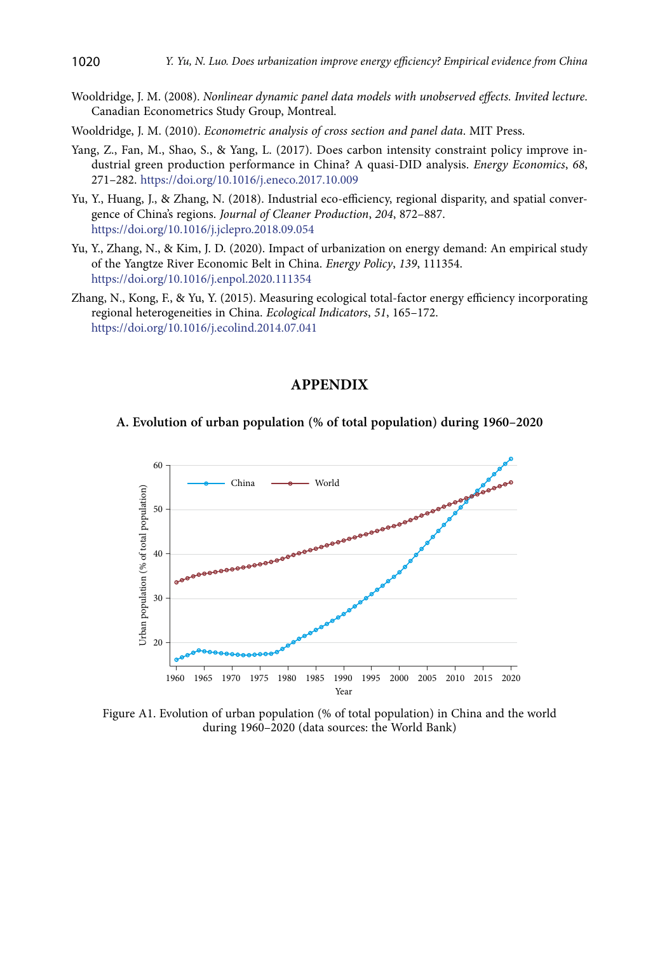- Wooldridge, J. M. (2008). *Nonlinear dynamic panel data models with unobserved effects. Invited lecture*. Canadian Econometrics Study Group, Montreal.
- Wooldridge, J. M. (2010). *Econometric analysis of cross section and panel data*. MIT Press.
- Yang, Z., Fan, M., Shao, S., & Yang, L. (2017). Does carbon intensity constraint policy improve industrial green production performance in China? A quasi-DID analysis. *Energy Economics*, *68*, 271–282. <https://doi.org/10.1016/j.eneco.2017.10.009>
- Yu, Y., Huang, J., & Zhang, N. (2018). Industrial eco-efficiency, regional disparity, and spatial convergence of China's regions. *Journal of Cleaner Production*, *204*, 872–887. <https://doi.org/10.1016/j.jclepro.2018.09.054>
- Yu, Y., Zhang, N., & Kim, J. D. (2020). Impact of urbanization on energy demand: An empirical study of the Yangtze River Economic Belt in China. *Energy Policy*, *139*, 111354. <https://doi.org/10.1016/j.enpol.2020.111354>
- Zhang, N., Kong, F., & Yu, Y. (2015). Measuring ecological total-factor energy efficiency incorporating regional heterogeneities in China. *Ecological Indicators*, *51*, 165–172. <https://doi.org/10.1016/j.ecolind.2014.07.041>

## **APPENDIX**

#### **A. Evolution of urban population (% of total population) during 1960–2020**



Figure A1. Evolution of urban population (% of total population) in China and the world during 1960–2020 (data sources: the World Bank)